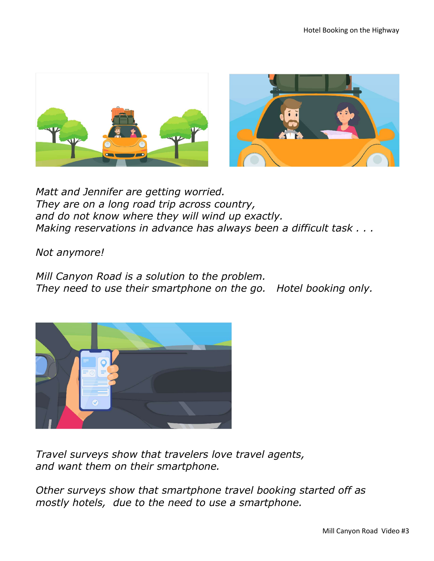

Matt and Jennifer are getting worried. They are on a long road trip across country, and do not know where they will wind up exactly. Making reservations in advance has always been a difficult task . . .

Not anymore!

Mill Canyon Road is a solution to the problem. They need to use their smartphone on the go. Hotel booking only.



Travel surveys show that travelers love travel agents, and want them on their smartphone.

Other surveys show that smartphone travel booking started off as mostly hotels, due to the need to use a smartphone.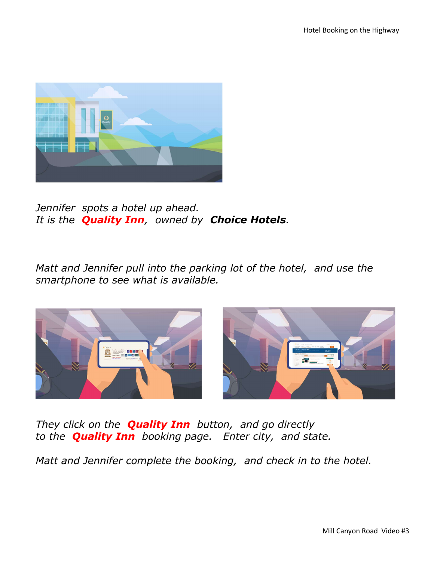

Jennifer spots a hotel up ahead. It is the **Quality Inn**, owned by **Choice Hotels.** 

Matt and Jennifer pull into the parking lot of the hotel, and use the smartphone to see what is available.



They click on the **Quality Inn** button, and go directly to the **Quality Inn** booking page. Enter city, and state.

Matt and Jennifer complete the booking, and check in to the hotel.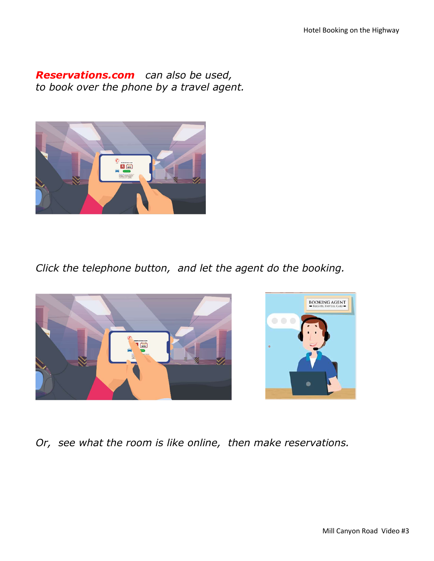## Reservations.com can also be used, to book over the phone by a travel agent.



Click the telephone button, and let the agent do the booking.



Or, see what the room is like online, then make reservations.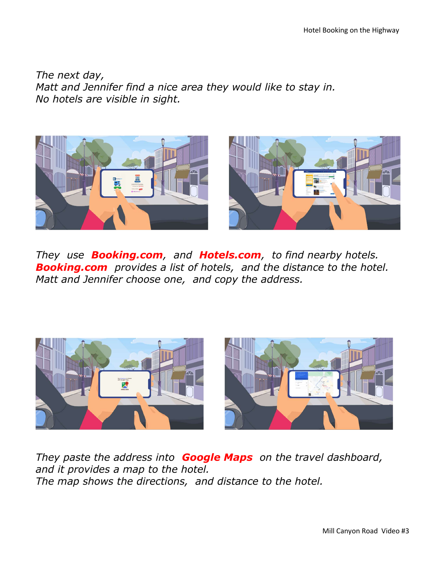The next day, Matt and Jennifer find a nice area they would like to stay in. No hotels are visible in sight.



They use **Booking.com**, and **Hotels.com**, to find nearby hotels. **Booking.com** provides a list of hotels, and the distance to the hotel. Matt and Jennifer choose one, and copy the address.



They paste the address into **Google Maps** on the travel dashboard, and it provides a map to the hotel. The map shows the directions, and distance to the hotel.